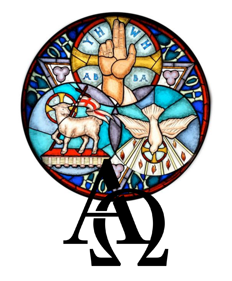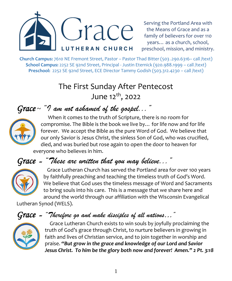

Serving the Portland Area with the Means of Grace and as a family of believers for over 110 years… as a church, school, preschool, mission, and ministry.

**Church Campus:** 7610 NE Fremont Street, Pastor – Pastor Thad Bitter (503 .290.6316– call /text) **School Campus:** 2252 SE 92nd Street, Principal - Justin Eternick (920.988.1999 – call /text) **Preschool:** 2252 SE 92nd Street, ECE Director Tammy Godish (503.312.4230 – call /text)

# The First Sunday After Pentecost June 12<sup>th</sup>, 2022

# *Grace* ~ *"I am not ashamed of the gospel..."*



 When it comes to the truth of Scripture, there is no room for compromise. The Bible is the book we live by… for life now and for life forever. We accept the Bible as the pure Word of God. We believe that our only Savior is Jesus Christ, the sinless Son of God, who was crucified, died, and was buried but rose again to open the door to heaven for everyone who believes in him.

## *Grace* ~ *"These are written that you may believe..."*



 Grace Lutheran Church has served the Portland area for over 100 years by faithfully preaching and teaching the timeless truth of God's Word. We believe that God uses the timeless message of Word and Sacraments to bring souls into his care. This is a message that we share here and around the world through our affiliation with the Wisconsin Evangelical

Lutheran Synod (WELS).

## *Grace* ~ *"Therefore go and make disciples of all nations…"*



 Grace Lutheran Church exists to win souls by joyfully proclaiming the truth of God's grace through Christ, to nurture believers in growing in faith and lives of Christian service, and to join together in worship and praise. *"But grow in the grace and knowledge of our Lord and Savior Jesus Christ. To him be the glory both now and forever! Amen." 2 Pt. 3:18*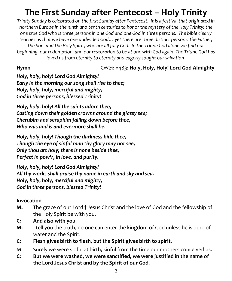# **The First Sunday after Pentecost – Holy Trinity**

*Trinity Sunday is celebrated on the first Sunday after Pentecost. It is a festival that originated in northern Europe in the ninth and tenth centuries to honor the mystery of the Holy Trinity: the one true God who is three persons in one God and one God in three persons. The bible clearly teaches us that we have one undivided God… yet there are three distinct persons: the Father,* 

*the Son, and the Holy Spirit, who are all fully God. In the Triune God alone we find our beginning, our redemption, and our restoration to be at one with God again. The Triune God has loved us from eternity to eternity and eagerly sought our salvation.*

### **Hymn** CW21: #483: **Holy, Holy, Holy! Lord God Almighty**

*Holy, holy, holy! Lord God Almighty! Early in the morning our song shall rise to thee; Holy, holy, holy, merciful and mighty, God in three persons, blessed Trinity!* 

*Holy, holy, holy! All the saints adore thee, Casting down their golden crowns around the glassy sea; Cherubim and seraphim falling down before thee, Who was and is and evermore shall be.* 

*Holy, holy, holy! Though the darkness hide thee, Though the eye of sinful man thy glory may not see, Only thou art holy; there is none beside thee, Perfect in pow'r, in love, and purity.* 

*Holy, holy, holy! Lord God Almighty! All thy works shall praise thy name in earth and sky and sea. Holy, holy, holy, merciful and mighty, God in three persons, blessed Trinity!*

### **Invocation**

- **M:** The grace of our Lord † Jesus Christ and the love of God and the fellowship of the Holy Spirit be with you.
- **C: And also with you.**
- **M:** I tell you the truth, no one can enter the kingdom of God unless he is born of water and the Spirit.
- **C: Flesh gives birth to flesh, but the Spirit gives birth to spirit.**
- M: Surely we were sinful at birth, sinful from the time our mothers conceived us.
- **C: But we were washed, we were sanctified, we were justified in the name of the Lord Jesus Christ and by the Spirit of our God**.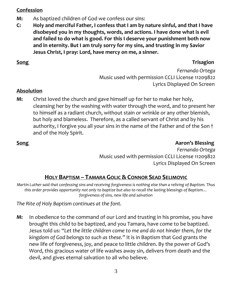#### **Confession**

- **M:** As baptized children of God we confess our sins:
- **C: Holy and merciful Father, I confess that I am by nature sinful, and that I have disobeyed you in my thoughts, words, and actions. I have done what is evil and failed to do what is good. For this I deserve your punishment both now and in eternity. But I am truly sorry for my sins, and trusting in my Savior Jesus Christ, I pray: Lord, have mercy on me, a sinner.**

### **Song Trisagion**

 *Fernando Ortega* Music used with permission CCLI License 11209822 Lyrics Displayed On Screen

### **Absolution**

**M:** Christ loved the church and gave himself up for her to make her holy, cleansing her by the washing with water through the word, and to present her to himself as a radiant church, without stain or wrinkle or any other blemish, but holy and blameless. Therefore, as a called servant of Christ and by his authority, I forgive you all your sins in the name of the Father and of the Son † and of the Holy Spirit.

**Song Aaron's Blessing Aaron's Blessing Aaron's Blessing** 

 *Fernando Ortega* Music used with permission CCLI License 11209822 Lyrics Displayed On Screen

## **HOLY BAPTISM – TAMARA GOLIC &CONNOR SEAD SELIMOVIC**

*Martin Luther said that confessing sins and receiving forgiveness is nothing else than a reliving of Baptism. Thus this order provides opportunity not only to baptize but also to recall the lasting blessings of Baptism… forgiveness of sins, new life and salvation*

*The Rite of Holy Baptism continues at the font.*

**M:** In obedience to the command of our Lord and trusting in his promise, you have brought this child to be baptized, and you Tamara, have come to be baptized. Jesus told us: *"Let the little children come to me and do not hinder them, for the kingdom of God belongs to such as these."* It is in Baptism that God grants the new life of forgiveness, joy, and peace to little children. By the power of God's Word, this gracious water of life washes away sin, delivers from death and the devil, and gives eternal salvation to all who believe.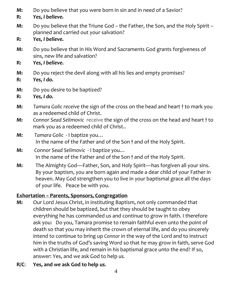**M:** Do you believe that you were born in sin and in need of a Savior?

**R:** *Yes, I believe.*

- **M:** Do you believe that the Triune God the Father, the Son, and the Holy Spirit planned and carried out your salvation?
- **R:** *Yes, I believe.*
- **M:** Do you believe that in His Word and Sacraments God grants forgiveness of sins, new life and salvation?
- **R:** *Yes, I believe.*
- **M:** Do you reject the devil along with all his lies and empty promises?
- **R:** *Yes, I do.*
- **M:** Do you desire to be baptized?
- **R:** *Yes, I do.*
- **M:** *Tamara Golic receive* the sign of the cross on the head and heart † to mark you as a redeemed child of Christ.
- **M:** *Connor Sead Selimovic* receive the sign of the cross on the head and heart † to mark you as a redeemed child of Christ..
- **M:** *Tamara Golic -* I baptize you… In the name of the Father and of the Son † and of the Holy Spirit.
- **M:** *Connor Sead Selimovic -* I baptize you… In the name of the Father and of the Son † and of the Holy Spirit.
- **M:** The Almighty God—Father, Son, and Holy Spirit—has forgiven all your sins. By your baptism, you are born again and made a dear child of your Father in heaven. May God strengthen you to live in your baptismal grace all the days of your life. Peace be with you.

### **Exhortation – Parents, Sponsors, Congregation**

- **M:** Our Lord Jesus Christ, in instituting Baptism, not only commanded that children should be baptized, but that they should be taught to obey everything he has commanded us and continue to grow in faith. I therefore ask you: Do you, Tamara promise to remain faithful even unto the point of death so that you may inherit the crown of eternal life, and do you sincerely intend to continue to bring up *Connor* in the way of the Lord and to instruct *him* in the truths of God's saving Word so that *he* may grow in faith, serve God with a Christian life, and remain in *his* baptismal grace unto the end? If so, answer: Yes, and *we* ask God to help *us.*
- **R/C**: **Yes, and** *we* **ask God to help** *us.*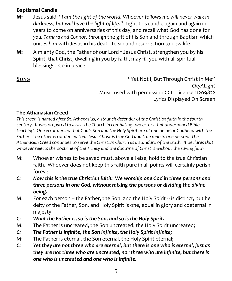### **Baptismal Candle**

- **M:** Jesus said: *"I am the light of the world. Whoever follows me will never walk in darkness, but will have the light of life."* Light this candle again and again in years to come on anniversaries of this day, and recall what God has done for *you, Tamara and Connor, through* the gift of his Son and through Baptism which unites *him* with Jesus in his death to sin and resurrection to new life.
- **M:** Almighty God, the Father of our Lord † Jesus Christ, strengthen you by his Spirit, that Christ, dwelling in you by faith, may fill you with all spiritual blessings. Go in peace.

**SONG** "Yet Not I, But Through Christ In Me" *CityALight* Music used with permission CCLI License 11209822 Lyrics Displayed On Screen

### **The Athanasian Creed**

*This creed is named after St. Athanasius, a staunch defender of the Christian faith in the fourth century. It was prepared to assist the Church in combating two errors that undermined Bible teaching. One error denied that God's Son and the Holy Spirit are of one being or Godhead with the*  Father. The other error denied that Jesus Christ is true God and true man in one person. The *Athanasian Creed continues to serve the Christian Church as a standard of the truth. It declares that whoever rejects the doctrine of the Trinity and the doctrine of Christ is without the saving faith.*

- M: Whoever wishes to be saved must, above all else, hold to the true Christian faith. Whoever does not keep this faith pure in all points will certainly perish forever.
- *C: Now this is the true Christian faith: We worship one God in three persons and three persons in one God, without mixing the persons or dividing the divine being.*
- M: For each person -- the Father, the Son, and the Holy Spirit -- is distinct, but he deity of the Father, Son, and Holy Spirit is one, equal in glory and coeternal in majesty.
- *C: What the Father is, so is the Son, and so is the Holy Spirit.*
- M: The Father is uncreated, the Son uncreated, the Holy Spirit uncreated;
- *C: The Father is infinite, the Son infinite, the Holy Spirit infinite;*
- M: The Father is eternal, the Son eternal, the Holy Spirit eternal;
- *C: Yet they are not three who are eternal, but there is one who is eternal, just as they are not three who are uncreated, nor three who are infinite, but there is one who is uncreated and one who is infinite.*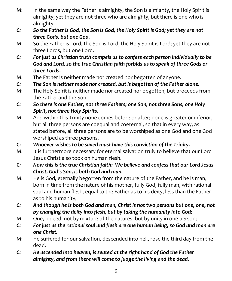- M: In the same way the Father is almighty, the Son is almighty, the Holy Spirit is almighty; yet they are not three who are almighty, but there is one who is almighty.
- *C: So the Father is God, the Son is God, the Holy Spirit is God; yet they are not three Gods, but one God.*
- M: So the Father is Lord, the Son is Lord, the Holy Spirit is Lord; yet they are not three Lords, but one Lord.
- *C: For just as Christian truth compels us to confess each person individually to be God and Lord, so the true Christian faith forbids us to speak of three Gods or three Lords.*
- M: The Father is neither made nor created nor begotten of anyone.
- *C: The Son is neither made nor created, but is begotten of the Father alone.*
- M: The Holy Spirit is neither made nor created nor begotten, but proceeds from the Father and the Son.
- *C: So there is one Father, not three Fathers; one Son, not three Sons; one Holy Spirit, not three Holy Spirits.*
- M: And within this Trinity none comes before or after; none is greater or inferior, but all three persons are coequal and coeternal, so that in every way, as stated before, all three persons are to be worshiped as one God and one God worshiped as three persons.
- *C: Whoever wishes to be saved must have this conviction of the Trinity.*
- M: It is furthermore necessary for eternal salvation truly to believe that our Lord Jesus Christ also took on human flesh.
- *C: Now this is the true Christian faith: We believe and confess that our Lord Jesus Christ, God's Son, is both God and man.*
- M: He is God, eternally begotten from the nature of the Father, and he is man, born in time from the nature of his mother, fully God, fully man, with rational soul and human flesh, equal to the Father as to his deity, less than the Father as to his humanity;
- *C: And though he is both God and man, Christ is not two persons but one, one, not by changing the deity into flesh, but by taking the humanity into God;*
- M: One, indeed, not by mixture of the natures, but by unity in one person;
- *C: For just as the rational soul and flesh are one human being, so God and man are one Christ.*
- M: He suffered for our salvation, descended into hell, rose the third day from the dead.
- *C: He ascended into heaven, is seated at the right hand of God the Father almighty, and from there will come to judge the living and the dead.*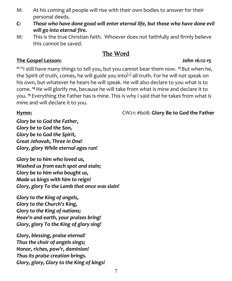- M: At his coming all people will rise with their own bodies to answer for their personal deeds.
- *C: Those who have done good will enter eternal life, but those who have done evil will go into eternal fire.*
- M: This is the true Christian faith. Whoever does not faithfully and firmly believe this cannot be saved.

## The Word

### **The Gospel Lesson: John 16:12-15**

<sup>12</sup> "I still have many things to tell you, but you cannot bear them now.<sup>13</sup> But when he, the Spirit of truth, comes, he will guide you into<sup>[\[a\]](https://www.biblegateway.com/passage/?search=Jn+16%3A12-15&version=EHV#fen-EHV-26732a)</sup> all truth. For he will not speak on his own, but whatever he hears he will speak. He will also declare to you what is to come. **<sup>14</sup>**He will glorify me, because he will take from what is mine and declare it to you. **<sup>15</sup>** Everything the Father has is mine. This is why I said that he takes from what is mine and will declare it to you.

*Glory be to God the Father, Glory be to God the Son, Glory be to God the Spirit, Great Jehovah, Three in One! Glory, glory While eternal ages run!* 

*Glory be to him who loved us, Washed us from each spot and stain; Glory be to him who bought us, Made us kings with him to reign! Glory, glory To the Lamb that once was slain!* 

*Glory to the King of angels, Glory to the Church's King, Glory to the King of nations; Heav'n and earth, your praises bring! Glory, glory To the King of glory sing!* 

*Glory, blessing, praise eternal! Thus the choir of angels sings; Honor, riches, pow'r, dominion! Thus its praise creation brings. Glory, glory, Glory to the King of kings!*

**Hymn:** CW21: #608: **Glory Be to God the Father**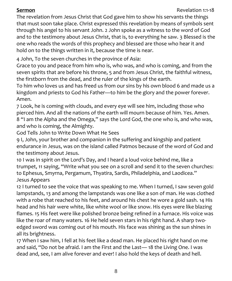The revelation from Jesus Christ that God gave him to show his servants the things that must soon take place. Christ expressed this revelation by means of symbols sent through his angel to his servant John. 2 John spoke as a witness to the word of God and to the testimony about Jesus Christ, that is, to everything he saw. 3 Blessed is the one who reads the words of this prophecy and blessed are those who hear it and hold on to the things written in it, because the time is near.

4 John, To the seven churches in the province of Asia:

Grace to you and peace from him who is, who was, and who is coming, and from the seven spirits that are before his throne, 5 and from Jesus Christ, the faithful witness, the firstborn from the dead, and the ruler of the kings of the earth.

To him who loves us and has freed us from our sins by his own blood 6 and made us a kingdom and priests to God his Father—to him be the glory and the power forever. Amen.

7 Look, he is coming with clouds, and every eye will see him, including those who pierced him. And all the nations of the earth will mourn because of him. Yes. Amen. 8 "I am the Alpha and the Omega," says the Lord God, the one who is, and who was, and who is coming, the Almighty.

God Tells John to Write Down What He Sees

9 I, John, your brother and companion in the suffering and kingship and patient endurance in Jesus, was on the island called Patmos because of the word of God and the testimony about Jesus.

10 I was in spirit on the Lord's Day, and I heard a loud voice behind me, like a trumpet, 11 saying, "Write what you see on a scroll and send it to the seven churches: to Ephesus, Smyrna, Pergamum, Thyatira, Sardis, Philadelphia, and Laodicea." Jesus Appears

12 I turned to see the voice that was speaking to me. When I turned, I saw seven gold lampstands, 13 and among the lampstands was one like a son of man. He was clothed with a robe that reached to his feet, and around his chest he wore a gold sash. 14 His head and his hair were white, like white wool or like snow. His eyes were like blazing flames. 15 His feet were like polished bronze being refined in a furnace. His voice was like the roar of many waters. 16 He held seven stars in his right hand. A sharp twoedged sword was coming out of his mouth. His face was shining as the sun shines in all its brightness.

17 When I saw him, I fell at his feet like a dead man. He placed his right hand on me and said, "Do not be afraid. I am the First and the Last— 18 the Living One. I was dead and, see, I am alive forever and ever! I also hold the keys of death and hell.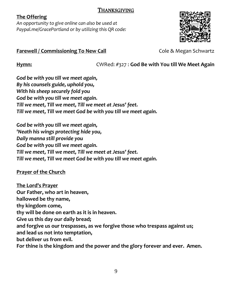9

### THANKSGIVING

**The Offering** *An opportunity to give online can also be used at Paypal.me/GracePortland or by utilizing this QR code:*

### **Farewell / Commissioning To New Call** Cole & Megan Schwartz

### **Hymn:** CWRed: #327 : **God Be with You till We Meet Again**

*God be with you till we meet again, By his counsels guide, uphold you, With his sheep securely fold you God be with you till we meet again. Till we meet, Till we meet, Till we meet at Jesus' feet. Till we meet, Till we meet God be with you till we meet again.*

*God be with you till we meet again, 'Neath his wings protecting hide you, Daily manna still provide you God be with you till we meet again. Till we meet, Till we meet, Till we meet at Jesus' feet. Till we meet, Till we meet God be with you till we meet again.*

### **Prayer of the Church**

**The Lord's Prayer Our Father, who art in heaven, hallowed be thy name, thy kingdom come, thy will be done on earth as it is in heaven. Give us this day our daily bread; and forgive us our trespasses, as we forgive those who trespass against us; and lead us not into temptation, but deliver us from evil. For thine is the kingdom and the power and the glory forever and ever. Amen.**

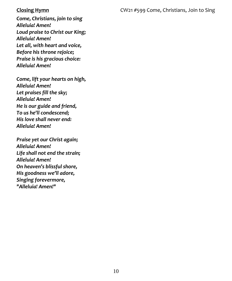#### **Closing Hymn** CW21 #599 Come, Christians, Join to Sing

*Come, Christians, join to sing Alleluia! Amen! Loud praise to Christ our King; Alleluia! Amen! Let all, with heart and voice, Before his throne rejoice; Praise is his gracious choice: Alleluia! Amen!*

*Come, lift your hearts on high, Alleluia! Amen! Let praises fill the sky; Alleluia! Amen! He is our guide and friend, To us he'll condescend; His love shall never end: Alleluia! Amen!*

*Praise yet our Christ again; Alleluia! Amen! Life shall not end the strain; Alleluia! Amen! On heaven's blissful shore, His goodness we'll adore, Singing forevermore, "Alleluia! Amen!"*